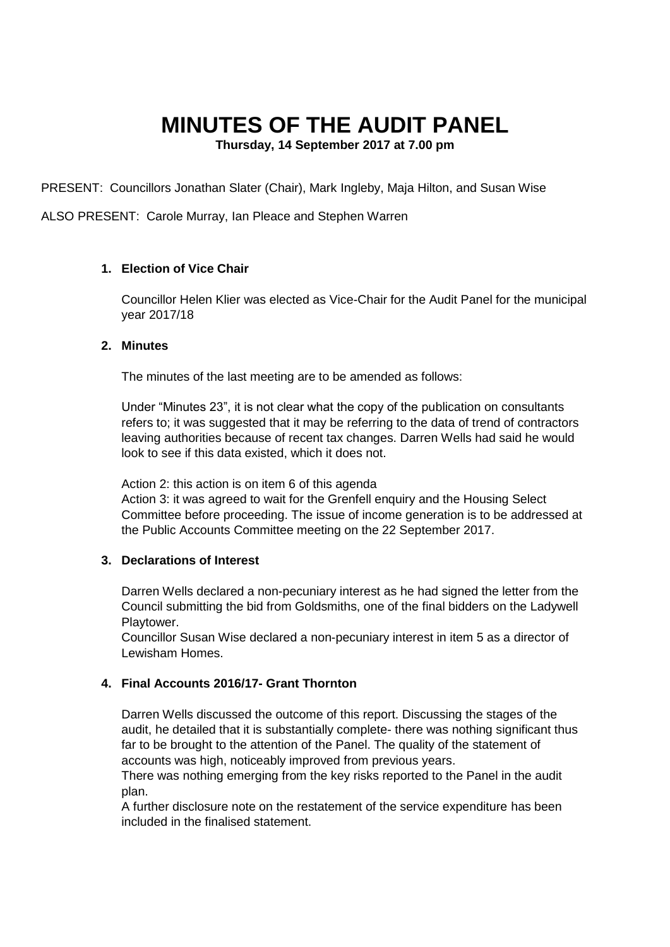# **MINUTES OF THE AUDIT PANEL**

**Thursday, 14 September 2017 at 7.00 pm**

PRESENT: Councillors Jonathan Slater (Chair), Mark Ingleby, Maja Hilton, and Susan Wise

ALSO PRESENT: Carole Murray, Ian Pleace and Stephen Warren

# **1. Election of Vice Chair**

Councillor Helen Klier was elected as Vice-Chair for the Audit Panel for the municipal year 2017/18

## **2. Minutes**

The minutes of the last meeting are to be amended as follows:

Under "Minutes 23", it is not clear what the copy of the publication on consultants refers to; it was suggested that it may be referring to the data of trend of contractors leaving authorities because of recent tax changes. Darren Wells had said he would look to see if this data existed, which it does not.

Action 2: this action is on item 6 of this agenda

Action 3: it was agreed to wait for the Grenfell enquiry and the Housing Select Committee before proceeding. The issue of income generation is to be addressed at the Public Accounts Committee meeting on the 22 September 2017.

## **3. Declarations of Interest**

Darren Wells declared a non-pecuniary interest as he had signed the letter from the Council submitting the bid from Goldsmiths, one of the final bidders on the Ladywell Playtower.

Councillor Susan Wise declared a non-pecuniary interest in item 5 as a director of Lewisham Homes.

# **4. Final Accounts 2016/17- Grant Thornton**

Darren Wells discussed the outcome of this report. Discussing the stages of the audit, he detailed that it is substantially complete- there was nothing significant thus far to be brought to the attention of the Panel. The quality of the statement of accounts was high, noticeably improved from previous years.

There was nothing emerging from the key risks reported to the Panel in the audit plan.

A further disclosure note on the restatement of the service expenditure has been included in the finalised statement.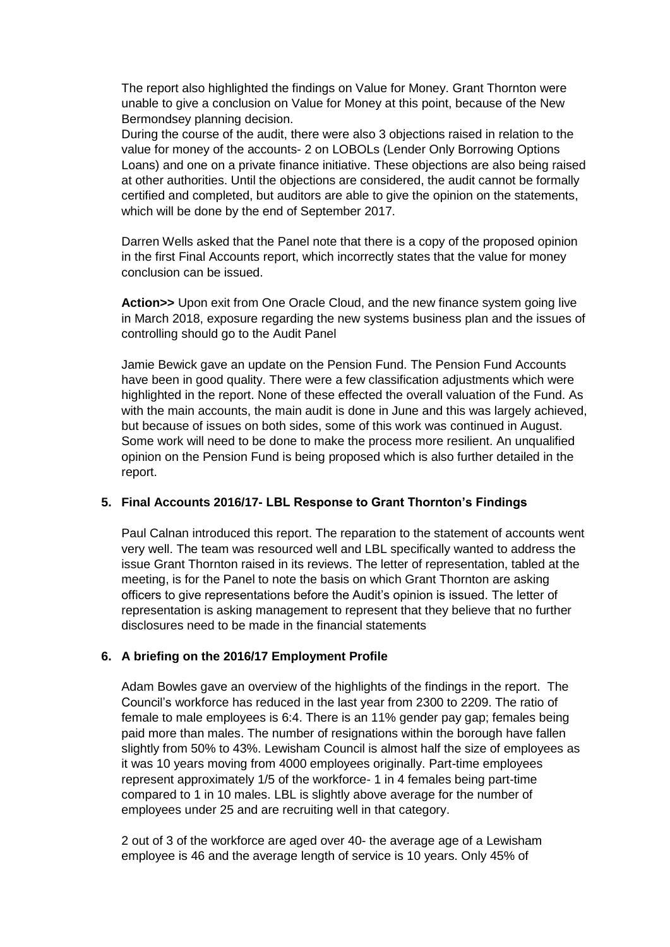The report also highlighted the findings on Value for Money. Grant Thornton were unable to give a conclusion on Value for Money at this point, because of the New Bermondsey planning decision.

During the course of the audit, there were also 3 objections raised in relation to the value for money of the accounts- 2 on LOBOLs (Lender Only Borrowing Options Loans) and one on a private finance initiative. These objections are also being raised at other authorities. Until the objections are considered, the audit cannot be formally certified and completed, but auditors are able to give the opinion on the statements, which will be done by the end of September 2017.

Darren Wells asked that the Panel note that there is a copy of the proposed opinion in the first Final Accounts report, which incorrectly states that the value for money conclusion can be issued.

**Action>>** Upon exit from One Oracle Cloud, and the new finance system going live in March 2018, exposure regarding the new systems business plan and the issues of controlling should go to the Audit Panel

Jamie Bewick gave an update on the Pension Fund. The Pension Fund Accounts have been in good quality. There were a few classification adjustments which were highlighted in the report. None of these effected the overall valuation of the Fund. As with the main accounts, the main audit is done in June and this was largely achieved, but because of issues on both sides, some of this work was continued in August. Some work will need to be done to make the process more resilient. An unqualified opinion on the Pension Fund is being proposed which is also further detailed in the report.

## **5. Final Accounts 2016/17- LBL Response to Grant Thornton's Findings**

Paul Calnan introduced this report. The reparation to the statement of accounts went very well. The team was resourced well and LBL specifically wanted to address the issue Grant Thornton raised in its reviews. The letter of representation, tabled at the meeting, is for the Panel to note the basis on which Grant Thornton are asking officers to give representations before the Audit's opinion is issued. The letter of representation is asking management to represent that they believe that no further disclosures need to be made in the financial statements

#### **6. A briefing on the 2016/17 Employment Profile**

Adam Bowles gave an overview of the highlights of the findings in the report. The Council's workforce has reduced in the last year from 2300 to 2209. The ratio of female to male employees is 6:4. There is an 11% gender pay gap; females being paid more than males. The number of resignations within the borough have fallen slightly from 50% to 43%. Lewisham Council is almost half the size of employees as it was 10 years moving from 4000 employees originally. Part-time employees represent approximately 1/5 of the workforce- 1 in 4 females being part-time compared to 1 in 10 males. LBL is slightly above average for the number of employees under 25 and are recruiting well in that category.

2 out of 3 of the workforce are aged over 40- the average age of a Lewisham employee is 46 and the average length of service is 10 years. Only 45% of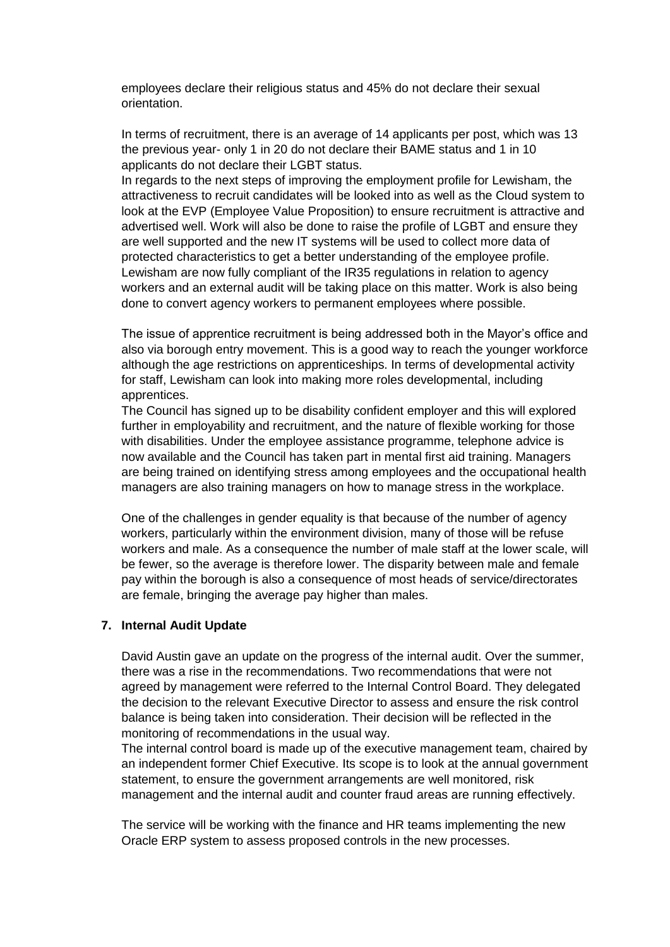employees declare their religious status and 45% do not declare their sexual orientation.

In terms of recruitment, there is an average of 14 applicants per post, which was 13 the previous year- only 1 in 20 do not declare their BAME status and 1 in 10 applicants do not declare their LGBT status.

In regards to the next steps of improving the employment profile for Lewisham, the attractiveness to recruit candidates will be looked into as well as the Cloud system to look at the EVP (Employee Value Proposition) to ensure recruitment is attractive and advertised well. Work will also be done to raise the profile of LGBT and ensure they are well supported and the new IT systems will be used to collect more data of protected characteristics to get a better understanding of the employee profile. Lewisham are now fully compliant of the IR35 regulations in relation to agency workers and an external audit will be taking place on this matter. Work is also being done to convert agency workers to permanent employees where possible.

The issue of apprentice recruitment is being addressed both in the Mayor's office and also via borough entry movement. This is a good way to reach the younger workforce although the age restrictions on apprenticeships. In terms of developmental activity for staff, Lewisham can look into making more roles developmental, including apprentices.

The Council has signed up to be disability confident employer and this will explored further in employability and recruitment, and the nature of flexible working for those with disabilities. Under the employee assistance programme, telephone advice is now available and the Council has taken part in mental first aid training. Managers are being trained on identifying stress among employees and the occupational health managers are also training managers on how to manage stress in the workplace.

One of the challenges in gender equality is that because of the number of agency workers, particularly within the environment division, many of those will be refuse workers and male. As a consequence the number of male staff at the lower scale, will be fewer, so the average is therefore lower. The disparity between male and female pay within the borough is also a consequence of most heads of service/directorates are female, bringing the average pay higher than males.

#### **7. Internal Audit Update**

David Austin gave an update on the progress of the internal audit. Over the summer, there was a rise in the recommendations. Two recommendations that were not agreed by management were referred to the Internal Control Board. They delegated the decision to the relevant Executive Director to assess and ensure the risk control balance is being taken into consideration. Their decision will be reflected in the monitoring of recommendations in the usual way.

The internal control board is made up of the executive management team, chaired by an independent former Chief Executive. Its scope is to look at the annual government statement, to ensure the government arrangements are well monitored, risk management and the internal audit and counter fraud areas are running effectively.

The service will be working with the finance and HR teams implementing the new Oracle ERP system to assess proposed controls in the new processes.